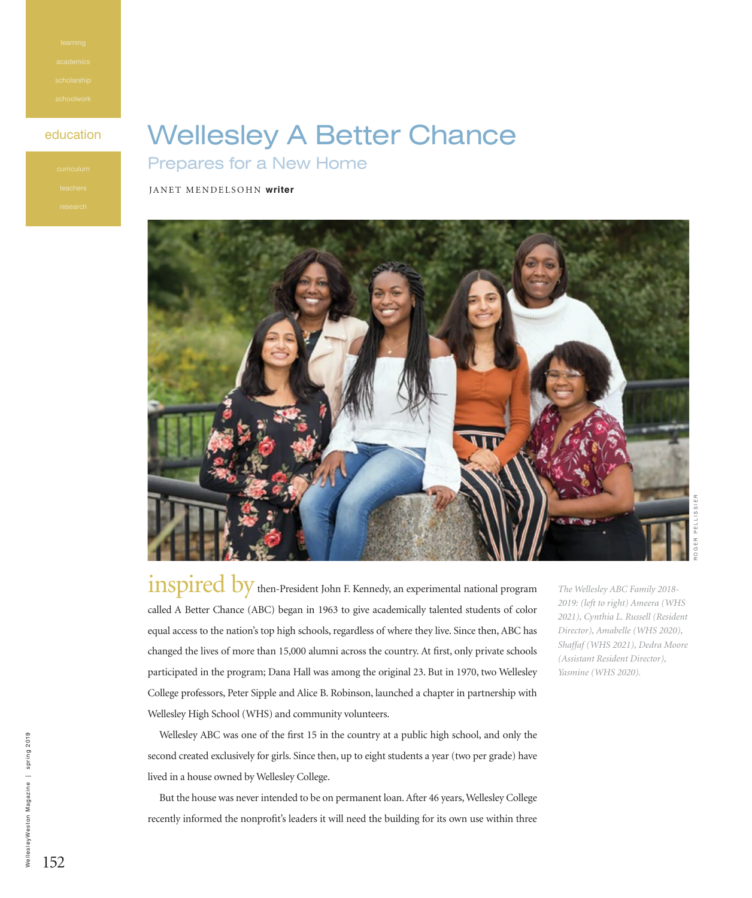## education **Wellesley A Better Chance** Prepares for a New Home

## JANET MENDELSOHN **writer**



inspired by then-President John F. Kennedy, an experimental national program called A Better Chance (ABC) began in 1963 to give academically talented students of color equal access to the nation's top high schools, regardless of where they live. Since then, ABC has changed the lives of more than 15,000 alumni across the country. At first, only private schools participated in the program; Dana Hall was among the original 23. But in 1970, two Wellesley College professors, Peter Sipple and Alice B. Robinson, launched a chapter in partnership with Wellesley High School (WHS) and community volunteers.

*The Wellesley ABC Family 2018- 2019: (left to right) Ameera (WHS 2021), Cynthia L. Russell (Resident Director), Amabelle (WHS 2020), Shaffaf (WHS 2021), Dedra Moore (Assistant Resident Director), Yasmine (WHS 2020).*

Wellesley ABC was one of the first 15 in the country at a public high school, and only the second created exclusively for girls. Since then, up to eight students a year (two per grade) have lived in a house owned by Wellesley College.

But the house was never intended to be on permanent loan. After 46 years, Wellesley College recently informed the nonprofit's leaders it will need the building for its own use within three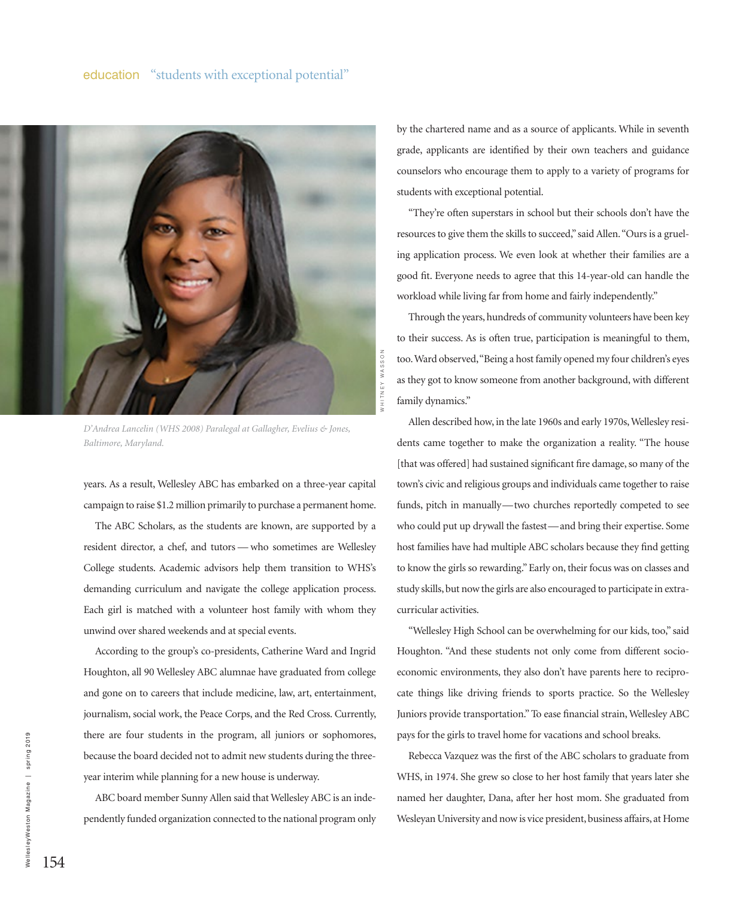

*D'Andrea Lancelin (WHS 2008) Paralegal at Gallagher, Evelius & Jones, Baltimore, Maryland.*

years. As a result, Wellesley ABC has embarked on a three-year capital campaign to raise \$1.2 million primarily to purchase a permanent home.

The ABC Scholars, as the students are known, are supported by a resident director, a chef, and tutors — who sometimes are Wellesley College students. Academic advisors help them transition to WHS's demanding curriculum and navigate the college application process. Each girl is matched with a volunteer host family with whom they unwind over shared weekends and at special events.

According to the group's co-presidents, Catherine Ward and Ingrid Houghton, all 90 Wellesley ABC alumnae have graduated from college and gone on to careers that include medicine, law, art, entertainment, journalism, social work, the Peace Corps, and the Red Cross. Currently, there are four students in the program, all juniors or sophomores, because the board decided not to admit new students during the threeyear interim while planning for a new house is underway.

ABC board member Sunny Allen said that Wellesley ABC is an independently funded organization connected to the national program only by the chartered name and as a source of applicants. While in seventh grade, applicants are identified by their own teachers and guidance counselors who encourage them to apply to a variety of programs for students with exceptional potential.

"They're often superstars in school but their schools don't have the resources to give them the skills to succeed," said Allen. "Ours is a grueling application process. We even look at whether their families are a good fit. Everyone needs to agree that this 14-year-old can handle the workload while living far from home and fairly independently."

Through the years, hundreds of community volunteers have been key to their success. As is often true, participation is meaningful to them, too. Ward observed, "Being a host family opened my four children's eyes as they got to know someone from another background, with different family dynamics."

Allen described how, in the late 1960s and early 1970s, Wellesley residents came together to make the organization a reality. "The house [that was offered] had sustained significant fire damage, so many of the town's civic and religious groups and individuals came together to raise funds, pitch in manually—two churches reportedly competed to see who could put up drywall the fastest—and bring their expertise. Some host families have had multiple ABC scholars because they find getting to know the girls so rewarding." Early on, their focus was on classes and study skills, but now the girls are also encouraged to participate in extracurricular activities.

"Wellesley High School can be overwhelming for our kids, too," said Houghton. "And these students not only come from different socioeconomic environments, they also don't have parents here to reciprocate things like driving friends to sports practice. So the Wellesley Juniors provide transportation." To ease financial strain, Wellesley ABC pays for the girls to travel home for vacations and school breaks.

Rebecca Vazquez was the first of the ABC scholars to graduate from WHS, in 1974. She grew so close to her host family that years later she named her daughter, Dana, after her host mom. She graduated from Wesleyan University and now is vice president, business affairs, at Home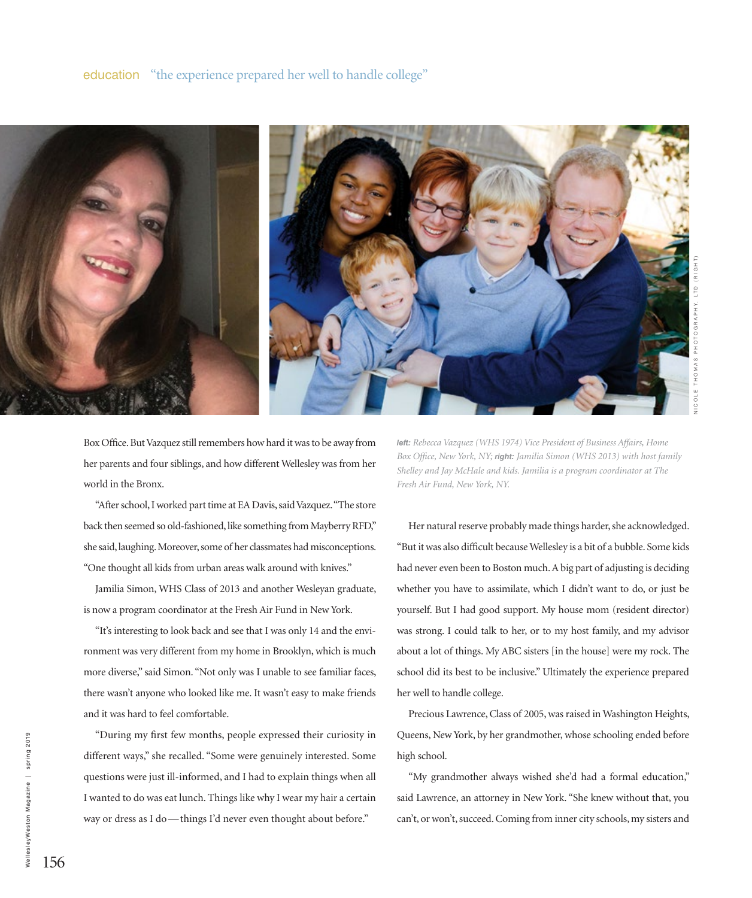

Box Office. But Vazquez still remembers how hard it was to be away from her parents and four siblings, and how different Wellesley was from her world in the Bronx.

"After school, I worked part time at EA Davis, said Vazquez. "The store back then seemed so old-fashioned, like something from Mayberry RFD," she said, laughing. Moreover, some of her classmates had misconceptions. "One thought all kids from urban areas walk around with knives."

Jamilia Simon, WHS Class of 2013 and another Wesleyan graduate, is now a program coordinator at the Fresh Air Fund in New York.

"It's interesting to look back and see that I was only 14 and the environment was very different from my home in Brooklyn, which is much more diverse," said Simon. "Not only was I unable to see familiar faces, there wasn't anyone who looked like me. It wasn't easy to make friends and it was hard to feel comfortable.

"During my first few months, people expressed their curiosity in different ways," she recalled. "Some were genuinely interested. Some questions were just ill-informed, and I had to explain things when all I wanted to do was eat lunch. Things like why I wear my hair a certain way or dress as I do—things I'd never even thought about before."

*left: Rebecca Vazquez (WHS 1974) Vice President of Business Affairs, Home Box Office, New York, NY; right: Jamilia Simon (WHS 2013) with host family Shelley and Jay McHale and kids. Jamilia is a program coordinator at The Fresh Air Fund, New York, NY.*

Her natural reserve probably made things harder, she acknowledged. "But it was also difficult because Wellesley is a bit of a bubble. Some kids had never even been to Boston much. A big part of adjusting is deciding whether you have to assimilate, which I didn't want to do, or just be yourself. But I had good support. My house mom (resident director) was strong. I could talk to her, or to my host family, and my advisor about a lot of things. My ABC sisters [in the house] were my rock. The school did its best to be inclusive." Ultimately the experience prepared her well to handle college.

Precious Lawrence, Class of 2005, was raised in Washington Heights, Queens, New York, by her grandmother, whose schooling ended before high school.

"My grandmother always wished she'd had a formal education," said Lawrence, an attorney in New York. "She knew without that, you can't, or won't, succeed. Coming from inner city schools, my sisters and